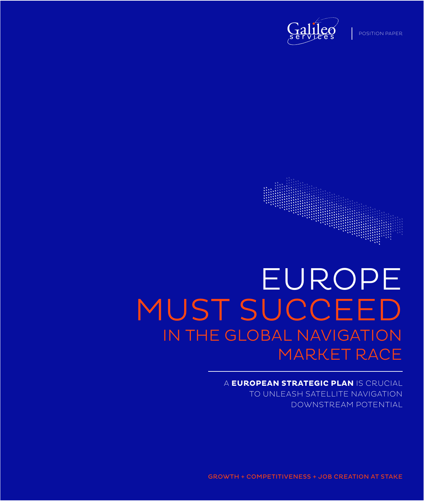

POSITION PAPER

### EUROPE MUST SUCCEED IN THE GLOBAL NAVIGATION MARKET RACE

A **EUROPEAN STRATEGIC PLAN** IS CRUCIAL TO UNLEASH SATELLITE NAVIGATION DOWNSTREAM POTENTIAL

GROWTH + COMPETITIVENESS + JOB CREATION AT STAKE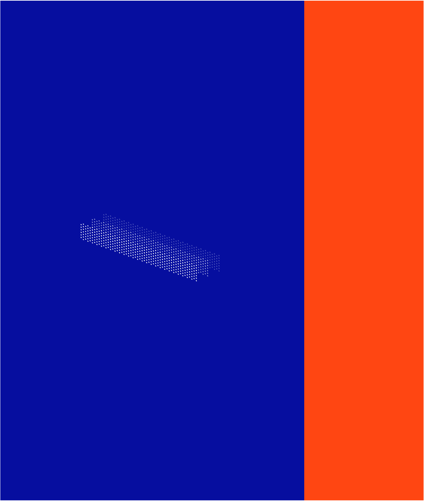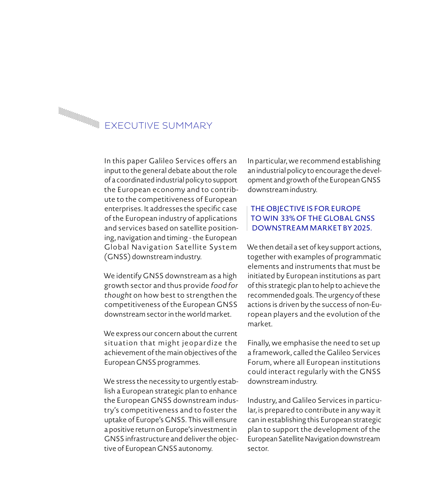

In this paper Galileo Services offers an input to the general debate about the role of a coordinated industrial policy to support the European economy and to contribute to the competitiveness of European enterprises. It addresses the specific case of the European industry of applications and services based on satellite positioning, navigation and timing - the European Global Navigation Satellite System (GNSS) downstream industry.

We identify GNSS downstream as a high growth sector and thus provide food for thought on how best to strengthen the competitiveness of the European GNSS downstream sector in the world market.

We express our concern about the current situation that might jeopardize the achievement of the main objectives of the European GNSS programmes.

We stress the necessity to urgently establish a European strategic plan to enhance the European GNSS downstream industry's competitiveness and to foster the uptake of Europe's GNSS. This will ensure a positive return on Europe's investment in GNSS infrastructure and deliver the objective of European GNSS autonomy.

In particular, we recommend establishing an industrial policy to encourage the development and growth of the European GNSS downstream industry.

#### THE OBJECTIVE IS FOR EUROPE TO WIN 33% OF THE GLOBAL GNSS DOWNSTREAM MARKET BY 2025.

We then detail a set of key support actions, together with examples of programmatic elements and instruments that must be initiated by European institutions as part of this strategic plan to help to achieve the recommended goals. The urgency of these actions is driven by the success of non-European players and the evolution of the market.

Finally, we emphasise the need to set up a framework, called the Galileo Services Forum, where all European institutions could interact regularly with the GNSS downstream industry.

Industry, and Galileo Services in particular, is prepared to contribute in any way it can in establishing this European strategic plan to support the development of the European Satellite Navigation downstream sector.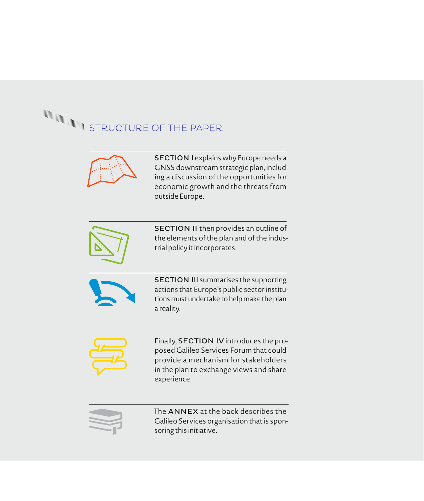### STRUCTURE OF THE PAPER aaaaaaaaaaa



SECTION I explains why Europe needs a GNSS downstream strategic plan, including a discussion of the opportunities for economic growth and the threats from outside Europe.



SECTION II then provides an outline of the elements of the plan and of the industrial policy it incorporates.



SECTION III summarises the supporting actions that Europe's public sector institutions must undertake to help make the plan a reality.



Finally, SECTION IV introduces the proposed Galileo Services Forum that could provide a mechanism for stakeholders in the plan to exchange views and share experience.



The ANNEX at the back describes the Galileo Services organisation that is sponsoring this initiative.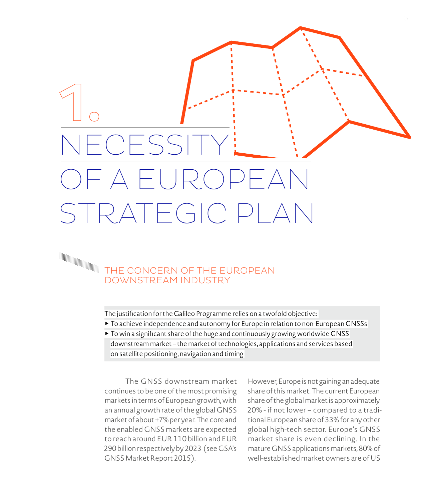## VECESSIT OF A EUROPEA STRATEGIC PLAN

### THE CONCERN OF THE EUROPEAN DOWNSTREAM INDUSTRY aaaaaaaaaaa

The justification for the Galileo Programme relies on a twofold objective:

- $\triangleright$  To achieve independence and autonomy for Europe in relation to non-European GNSSs
- $\triangleright$  To win a significant share of the huge and continuously growing worldwide GNSS downstream market – the market of technologies, applications and services based on satellite positioning, navigation and timing

The GNSS downstream market continues to be one of the most promising markets in terms of European growth, with an annual growth rate of the global GNSS market of about +7% per year. The core and the enabled GNSS markets are expected to reach around EUR 110 billion and EUR 290 billion respectively by 2023 (see GSA's GNSS Market Report 2015).

However, Europe is not gaining an adequate share of this market. The current European share of the global market is approximately 20% - if not lower – compared to a traditional European share of 33% for any other global high-tech sector. Europe's GNSS market share is even declining. In the mature GNSS applications markets, 80% of well-established market owners are of US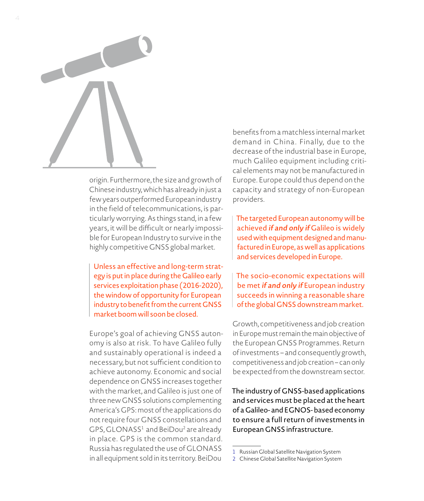

origin. Furthermore, the size and growth of Chinese industry, which has already in just a few years outperformed European industry in the field of telecommunications, is particularly worrying. As things stand, in a few years, it will be difficult or nearly impossible for European Industry to survive in the highly competitive GNSS global market.

Unless an effective and long-term strategy is put in place during the Galileo early services exploitation phase (2016-2020), the window of opportunity for European industry to benefit from the current GNSS market boom will soon be closed.

Europe's goal of achieving GNSS autonomy is also at risk. To have Galileo fully and sustainably operational is indeed a necessary, but not sufficient condition to achieve autonomy. Economic and social dependence on GNSS increases together with the market, and Galileo is just one of three new GNSS solutions complementing America's GPS: most of the applications do not require four GNSS constellations and GPS, GLONASS<sup>1</sup> and BeiDou<sup>2</sup> are already in place. GPS is the common standard. Russia has regulated the use of GLONASS in all equipment sold in its territory. BeiDou

benefits from a matchless internal market demand in China. Finally, due to the decrease of the industrial base in Europe, much Galileo equipment including critical elements may not be manufactured in Europe. Europe could thus depend on the capacity and strategy of non-European providers.

The targeted European autonomy will be achieved **if and only if** Galileo is widely used with equipment designed and manufactured in Europe, as well as applications and services developed in Europe.

The socio-economic expectations will be met **if and only if** European industry succeeds in winning a reasonable share of the global GNSS downstream market.

Growth, competitiveness and job creation in Europe must remain the main objective of the European GNSS Programmes. Return of investments – and consequently growth, competitiveness and job creation – can only be expected from the downstream sector.

The industry of GNSS-based applications and services must be placed at the heart of a Galileo- and EGNOS- based economy to ensure a full return of investments in European GNSS infrastructure.

<sup>1</sup> Russian Global Satellite Navigation System

<sup>2</sup> Chinese Global Satellite Navigation System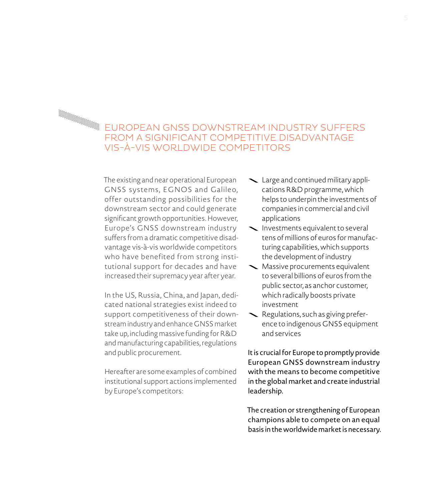#### EUROPEAN GNSS DOWNSTREAM INDUSTRY SUFFERS FROM A SIGNIFICANT COMPETITIVE DISADVANTAGE VIS-À-VIS WORLDWIDE COMPETITORS

The existing and near operational European GNSS systems, EGNOS and Galileo, offer outstanding possibilities for the downstream sector and could generate significant growth opportunities. However, Europe's GNSS downstream industry suffers from a dramatic competitive disadvantage vis-à-vis worldwide competitors who have benefited from strong institutional support for decades and have increased their supremacy year after year.

aaaaaaaaaaa

In the US, Russia, China, and Japan, dedicated national strategies exist indeed to support competitiveness of their downstream industry and enhance GNSS market take up, including massive funding for R&D and manufacturing capabilities, regulations and public procurement.

Hereafter are some examples of combined institutional support actions implemented by Europe's competitors:

- Large and continued military applications R&D programme, which helps to underpin the investments of companies in commercial and civil applications
- $\blacksquare$  Investments equivalent to several tens of millions of euros for manufacturing capabilities, which supports the development of industry
- $\sim$  Massive procurements equivalent to several billions of euros from the public sector, as anchor customer, which radically boosts private investment
- $\sum$  Regulations, such as giving preference to indigenous GNSS equipment and services

It is crucial for Europe to promptly provide European GNSS downstream industry with the means to become competitive in the global market and create industrial leadership.

The creation or strengthening of European champions able to compete on an equal basis in the worldwide market is necessary.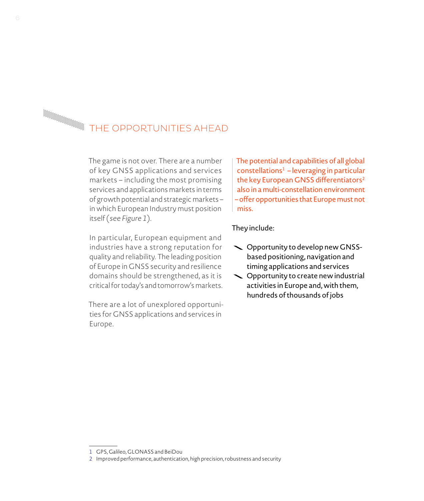### THE OPPORTUNITIES AHEAD aaaaaaaaaaa

The game is not over. There are a number of key GNSS applications and services markets – including the most promising services and applications markets in terms of growth potential and strategic markets – in which European Industry must position itself (see Figure 1).

In particular, European equipment and industries have a strong reputation for quality and reliability. The leading position of Europe in GNSS security and resilience domains should be strengthened, as it is critical for today's and tomorrow's markets.

There are a lot of unexplored opportunities for GNSS applications and services in Europe.

The potential and capabilities of all global  $constellations<sup>1</sup> - leveraging in particular$ the key European GNSS differentiators<sup>2</sup> also in a multi-constellation environment - offer opportunities that Europe must not miss.

#### They include:

- $\diagdown$  Opportunity to develop new GNSSbased positioning, navigation and timing applications and services
- \Opportunity to create new industrial activities in Europe and, with them, hundreds of thousands of jobs

<sup>1</sup> GPS, Galileo, GLONASS and BeiDou

<sup>2</sup> Improved performance, authentication, high precision, robustness and security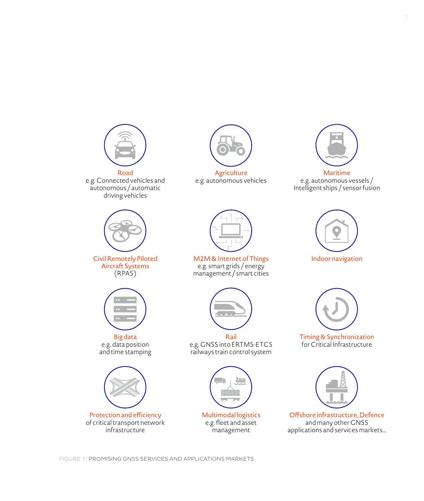

**Agriculture** e.g. autonomous vehicles



M2M & Internet of Things e.g. smart grids / energy management / smart cities



Rail e.g. GNSS into ERTMS-ETCS railways train control system



e.g. fleet and asset management



Maritime e.g. autonomous vessels / Intelligent ships / sensor fusion





for Critical Infrastructure



Offshore infrastructure, Defence and many other GNSS applications and services markets…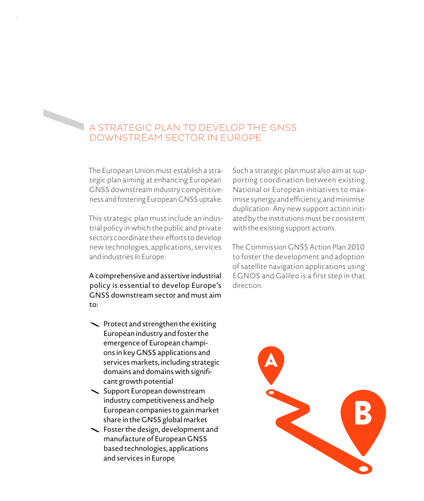#### A STRATEGIC PLAN TO DEVELOP THE GNSS DOWNSTREAM SECTOR IN EUROPE

The European Union must establish a strategic plan aiming at enhancing European GNSS downstream industry competitiveness and fostering European GNSS uptake.

This strategic plan must include an industrial policy in which the public and private sectors coordinate their efforts to develop new technologies, applications, services and industries in Europe.

A comprehensive and assertive industrial policy is essential to develop Europe's GNSS downstream sector and must aim to:

- $\sum$  Protect and strengthen the existing European industry and foster the emergence of European champions in key GNSS applications and services markets, including strategic domains and domains with significant growth potential
- Support European downstream industry competitiveness and help European companies to gain market share in the GNSS global market
- Soster the design, development and manufacture of European GNSS based technologies, applications and services in Europe

Such a strategic plan must also aim at supporting coordination between existing National or European initiatives to maximise synergy and efficiency, and minimise duplication. Any new support action initiated by the institutions must be consistent with the existing support actions.

The Commission GNSS Action Plan 2010 to foster the development and adoption of satellite navigation applications using EGNOS and Galileo is a first step in that direction.



aaaaaaaaaaa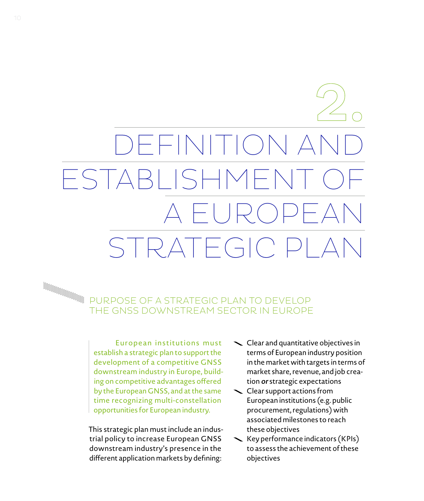## 2. **DEFINITION** FSTABI ISHMEN  $A H U R O P H A$ STRATEGIC PLAN

#### PURPOSE OF A STRATEGIC PLAN TO DEVELOP THE GNSS DOWNSTREAM SECTOR IN EUROPE

European institutions must establish a strategic plan to support the development of a competitive GNSS downstream industry in Europe, building on competitive advantages offered by the European GNSS, and at the same time recognizing multi-constellation opportunities for European industry.

This strategic plan must include an industrial policy to increase European GNSS downstream industry's presence in the different application markets by defining:

- Clear and quantitative objectives in terms of European industry position in the market with targets in terms of market share, revenue, and job creation **or** strategic expectations
- \Clear support actions from European institutions (e.g. public procurement, regulations) with associated milestones to reach these objectives
- $\diagdown$  Key performance indicators (KPIs) to assess the achievement of these objectives

aaaaaaaaaaa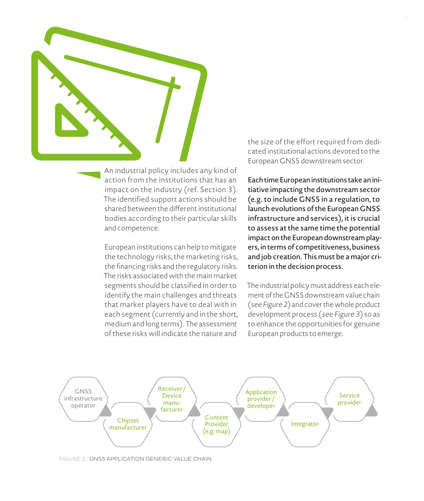

An industrial policy includes any kind of action from the institutions that has an impact on the industry (ref. Section 3). The identified support actions should be shared between the different institutional bodies according to their particular skills and competence.

European institutions can help to mitigate the technology risks, the marketing risks, the financing risks and the regulatory risks. The risks associated with the main market segments should be classified in order to identify the main challenges and threats that market players have to deal with in each segment (currently and in the short, medium and long terms). The assessment of these risks will indicate the nature and

the size of the effort required from dedicated institutional actions devoted to the European GNSS downstream sector.

Each time European institutions take an initiative impacting the downstream sector (e.g. to include GNSS in a regulation, to launch evolutions of the European GNSS infrastructure and services), it is crucial to assess at the same time the potential impact on the European downstream players, in terms of competitiveness, business and job creation. This must be a major criterion in the decision process.

The industrial policy must address each element of the GNSS downstream value chain (see Figure 2) and cover the whole product development process (see Figure 3) so as to enhance the opportunities for genuine European products to emerge.



FIGURE 2 : GNSS APPLICATION GENERIC VALUE CHAIN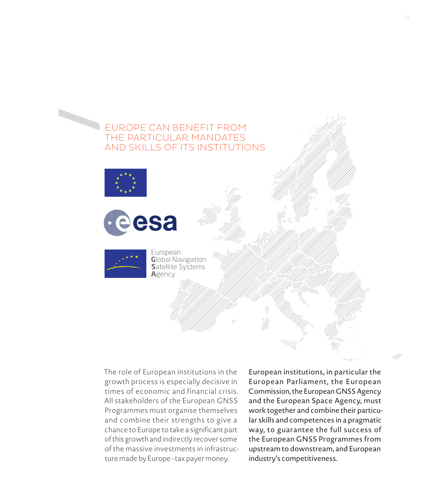

The role of European institutions in the growth process is especially decisive in times of economic and financial crisis. All stakeholders of the European GNSS Programmes must organise themselves and combine their strengths to give a chance to Europe to take a significant part of this growth and indirectly recover some of the massive investments in infrastructure made by Europe - tax payer money.

European institutions, in particular the European Parliament, the European Commission, the European GNSS Agency and the European Space Agency, must work together and combine their particular skills and competences in a pragmatic way, to guarantee the full success of the European GNSS Programmes from upstream to downstream, and European industry's competitiveness.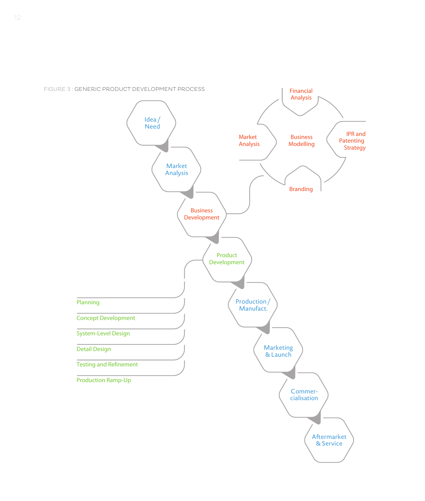

Aftermarket & Service

Figure 3 : Generic Product Development Process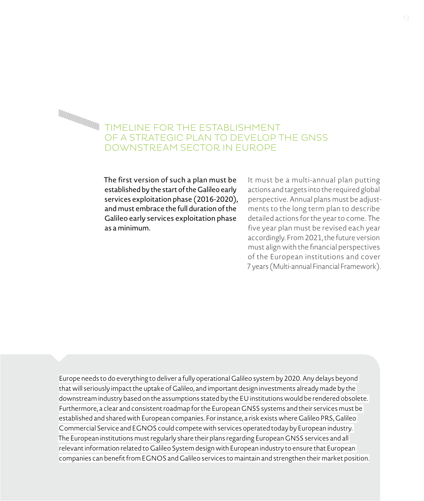#### TIMELINE FOR THE ESTABLISHMENT OF A STRATEGIC PLAN TO DEVELOP THE GNSS DOWNSTREAM SECTOR IN EUROPE

The first version of such a plan must be established by the start of the Galileo early services exploitation phase (2016-2020), and must embrace the full duration of the Galileo early services exploitation phase as a minimum.

aaaaaaaaaaa

It must be a multi-annual plan putting actions and targets into the required global perspective. Annual plans must be adjustments to the long term plan to describe detailed actions for the year to come. The five year plan must be revised each year accordingly. From 2021, the future version must align with the financial perspectives of the European institutions and cover 7 years (Multi-annual Financial Framework).

Europe needs to do everything to deliver a fully operational Galileo system by 2020. Any delays beyond that will seriously impact the uptake of Galileo, and important design investments already made by the downstream industry based on the assumptions stated by the EU institutions would be rendered obsolete. Furthermore, a clear and consistent roadmap for the European GNSS systems and their services must be established and shared with European companies. For instance, a risk exists where Galileo PRS, Galileo Commercial Service and EGNOS could compete with services operated today by European industry. The European institutions must regularly share their plans regarding European GNSS services and all relevant information related to Galileo System design with European industry to ensure that European companies can benefit from EGNOS and Galileo services to maintain and strengthen their market position.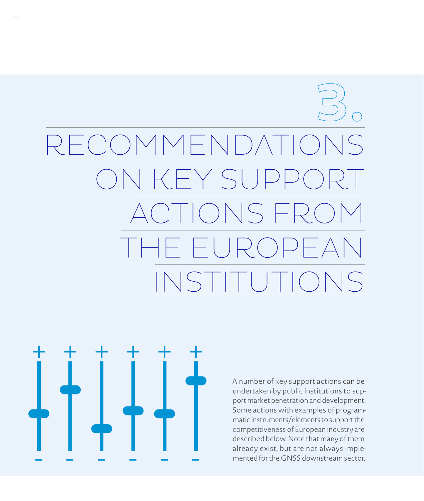## 3. MENDA KEY SU ACTIONS F THE EUROPEAN INSTITUTIONS

A number of key support actions can be undertaken by public institutions to support market penetration and development. Some actions with examples of programmatic instruments/elements to support the competitiveness of European industry are described below. Note that many of them already exist, but are not always implemented for the GNSS downstream sector.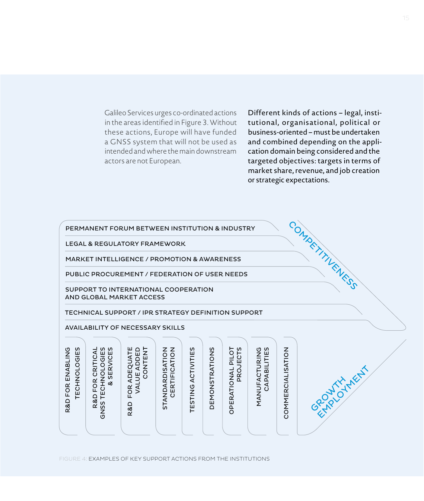Galileo Services urges co-ordinated actions in the areas identified in Figure 3. Without these actions, Europe will have funded a GNSS system that will not be used as intended and where the main downstream actors are not European.

Different kinds of actions – legal, institutional, organisational, political or business-oriented – must be undertaken and combined depending on the application domain being considered and the targeted objectives: targets in terms of market share, revenue, and job creation or strategic expectations.

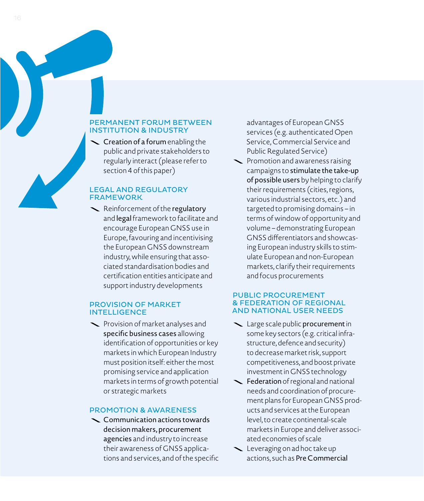#### PERMANENT FORUM BETWEEN INSTITUTION & INDUSTRY

Creation of a forum enabling the public and private stakeholders to regularly interact (please refer to section 4 of this paper)

#### LEGAL AND REGULATORY FRAMEWORK

Reinforcement of the regulatory and legal framework to facilitate and encourage European GNSS use in Europe, favouring and incentivising the European GNSS downstream industry, while ensuring that associated standardisation bodies and certification entities anticipate and support industry developments

#### PROVISION OF MARKET **INTELLIGENCE**

Provision of market analyses and specific business cases allowing identification of opportunities or key markets in which European Industry must position itself: either the most promising service and application markets in terms of growth potential or strategic markets

#### PROMOTION & AWARENESS

\Communication actions towards decision makers, procurement agencies and industry to increase their awareness of GNSS applications and services, and of the specific

advantages of European GNSS services (e.g. authenticated Open Service, Commercial Service and Public Regulated Service)

Promotion and awareness raising campaigns to stimulate the take-up of possible users by helping to clarify their requirements (cities, regions, various industrial sectors, etc.) and targeted to promising domains – in terms of window of opportunity and volume – demonstrating European GNSS differentiators and showcasing European industry skills to stimulate European and non-European markets, clarify their requirements and focus procurements

#### PUBLIC PROCUREMENT & FEDERATION OF REGIONAL AND NATIONAL USER NEEDS

- Large scale public procurement in some key sectors (e.g. critical infrastructure, defence and security) to decrease market risk, support competitiveness, and boost private investment in GNSS technology
- Sederation of regional and national needs and coordination of procurement plans for European GNSS products and services at the European level, to create continental-scale markets in Europe and deliver associated economies of scale
- Leveraging on ad hoc take up actions, such as Pre Commercial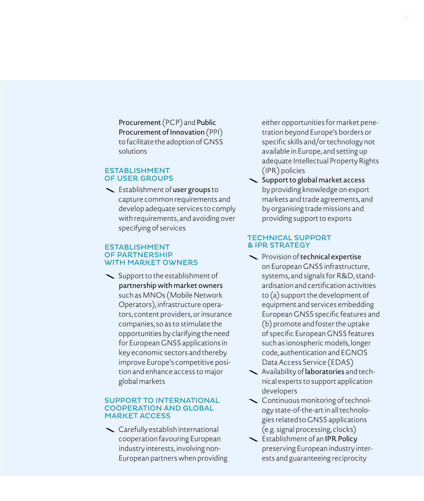Procurement (PCP) and Public Procurement of Innovation (PPI) to facilitate the adoption of GNSS solutions

#### ESTABLISHMENT OF USER GROUPS

Stablishment of user groups to capture common requirements and develop adequate services to comply with requirements, and avoiding over specifying of services

#### ESTABLISHMENT OF PARTNERSHIP WITH MARKET OWNERS

Support to the establishment of partnership with market owners such as MNOs (Mobile Network Operators), infrastructure operators, content providers, or insurance companies, so as to stimulate the opportunities by clarifying the need for European GNSS applications in key economic sectors and thereby improve Europe's competitive position and enhance access to major global markets

#### SUPPORT TO INTERNATIONAL COOPERATION AND GLOBAL MARKET ACCESS

Carefully establish international cooperation favouring European industry interests, involving non-European partners when providing either opportunities for market penetration beyond Europe's borders or specific skills and/or technology not available in Europe, and setting up adequate Intellectual Property Rights (IPR) policies

 $\sim$  Support to global market access by providing knowledge on export markets and trade agreements, and by organising trade missions and providing support to exports

#### TECHNICAL SUPPORT & IPR STRATEGY

- $\sum$  Provision of technical expertise on European GNSS infrastructure, systems, and signals for R&D, standardisation and certification activities to (a) support the development of equipment and services embedding European GNSS specific features and (b) promote and foster the uptake of specific European GNSS features such as ionospheric models, longer code, authentication and EGNOS Data Access Service (EDAS)
- Availability of laboratories and technical experts to support application developers
- Continuous monitoring of technology state-of-the-art in all technologies related to GNSS applications (e.g. signal processing, clocks)
- Establishment of an IPR Policy preserving European industry interests and guaranteeing reciprocity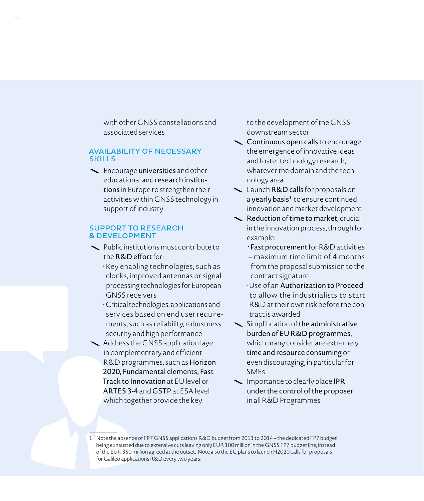with other GNSS constellations and associated services

#### AVAILABILITY OF NECESSARY SKILLS

Encourage universities and other educational and research institutions in Europe to strengthen their activities within GNSS technology in support of industry

#### SUPPORT TO RESEARCH & DEVELOPMENT

- \Public institutions must contribute to the R&D effort for:
	- Key enabling technologies, such as clocks, improved antennas or signal processing technologies for European GNSS receivers
	- Critical technologies, applications and services based on end user requirements, such as reliability, robustness, security and high performance
- Address the GNSS application layer in complementary and efficient R&D programmes, such as Horizon 2020, Fundamental elements, Fast Track to Innovation at EU level or ARTES 3-4 and GSTP at ESA level which together provide the key

to the development of the GNSS downstream sector

- **Letter** Continuous open calls to encourage the emergence of innovative ideas and foster technology research, whatever the domain and the technology area
- Launch R&D calls for proposals on a yearly basis<sup>1</sup> to ensure continued innovation and market development
- Reduction of time to market, crucial in the innovation process, through for example:
	- Fast procurement for R&D activities – maximum time limit of 4 months from the proposal submission to the contract signature
	- Use of an Authorization to Proceed to allow the industrialists to start R&D at their own risk before the contract is awarded
- $\sum$  Simplification of the administrative burden of EU R&D programmes, which many consider are extremely time and resource consuming or even discouraging, in particular for SMEs
- Importance to clearly place IPR under the control of the proposer in all R&D Programmes

<sup>1</sup> Note the absence of FP7 GNSS applications R&D budget from 2011 to 2014 – the dedicated FP7 budget being exhausted due to extensive cuts leaving only EUR 100 million in the GNSS FP7 budget line, instead of the EUR 350 million agreed at the outset. Note also the EC plans to launch H2020 calls for proposals for Galileo applications R&D every two years.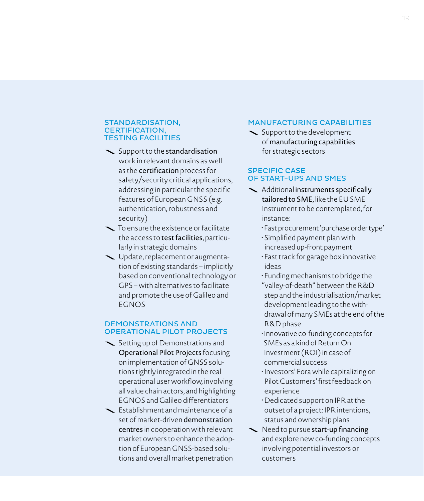#### STANDARDISATION, CERTIFICATION, TESTING FACILITIES

- Support to the standardisation work in relevant domains as well as the certification process for safety/security critical applications, addressing in particular the specific features of European GNSS (e.g. authentication, robustness and security)
- $\searrow$  To ensure the existence or facilitate the access to test facilities, particularly in strategic domains
- Update, replacement or augmentation of existing standards – implicitly based on conventional technology or GPS – with alternatives to facilitate and promote the use of Galileo and EGNOS

#### DEMONSTRATIONS AND OPERATIONAL PILOT PROJECTS

- Setting up of Demonstrations and Operational Pilot Projects focusing on implementation of GNSS solutions tightly integrated in the real operational user workflow, involving all value chain actors, and highlighting EGNOS and Galileo differentiators
- $\sum$  Establishment and maintenance of a set of market-driven demonstration centres in cooperation with relevant market owners to enhance the adoption of European GNSS-based solutions and overall market penetration

#### MANUFACTURING CAPABILITIES

 $\sum$  Support to the development of manufacturing capabilities for strategic sectors

#### SPECIFIC CASE OF START-UPS AND SMES

- \ Additional instruments specifically tailored to SME, like the EU SME Instrument to be contemplated, for instance:
	- Fast procurement 'purchase order type'
	- $\cdot$  Simplified payment plan with increased up-front payment
	- Fast track for garage box innovative ideas
	- Funding mechanisms to bridge the "valley-of-death" between the R&D step and the industrialisation/market development leading to the withdrawal of many SMEs at the end of the R&D phase
	- Innovative co-funding concepts for SMEs as a kind of Return On Investment (ROI) in case of commercial success
	- Investors' Fora while capitalizing on Pilot Customers' first feedback on experience
	- Dedicated support on IPR at the outset of a project: IPR intentions, status and ownership plans
- $\sum$  Need to pursue start-up financing and explore new co-funding concepts involving potential investors or customers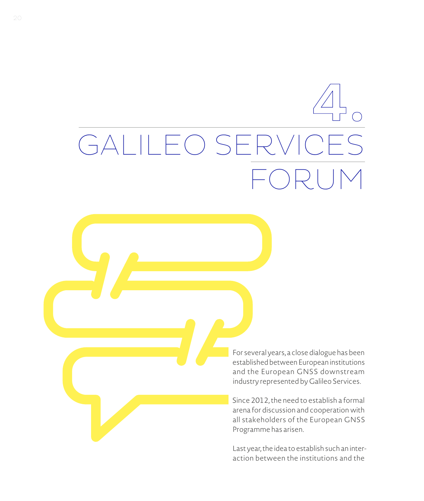# 4. GALILEO SERVI FORUM

For several years, a close dialogue has been established between European institutions and the European GNSS downstream industry represented by Galileo Services.

Since 2012, the need to establish a formal arena for discussion and cooperation with all stakeholders of the European GNSS Programme has arisen.

Last year, the idea to establish such an interaction between the institutions and the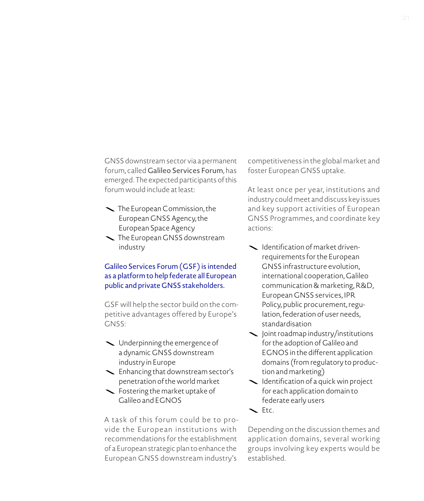GNSS downstream sector via a permanent forum, called Galileo Services Forum, has emerged. The expected participants of this forum would include at least:

- $\searrow$  The European Commission, the European GNSS Agency, the European Space Agency
- The European GNSS downstream industry

#### Galileo Services Forum (GSF) is intended as a platform to help federate all European public and private GNSS stakeholders.

GSF will help the sector build on the competitive advantages offered by Europe's GNSS:

- Underpinning the emergence of a dynamic GNSS downstream industry in Europe
- \Enhancing that downstream sector's penetration of the world market
- Subsection the market uptake of Galileo and EGNOS

A task of this forum could be to provide the European institutions with recommendations for the establishment of a European strategic plan to enhance the European GNSS downstream industry's

competitiveness in the global market and foster European GNSS uptake.

At least once per year, institutions and industry could meet and discuss key issues and key support activities of European GNSS Programmes, and coordinate key actions:

- $\blacksquare$  Identification of market drivenrequirements for the European GNSS infrastructure evolution, international cooperation, Galileo communication & marketing, R&D, European GNSS services, IPR Policy, public procurement, regulation, federation of user needs, standardisation
- $\sum$  Joint roadmap industry/institutions for the adoption of Galileo and EGNOS in the different application domains (from regulatory to production and marketing)
- $\blacksquare$  Identification of a quick win project for each application domain to federate early users
- $\sum$  Etc.

Depending on the discussion themes and application domains, several working groups involving key experts would be established.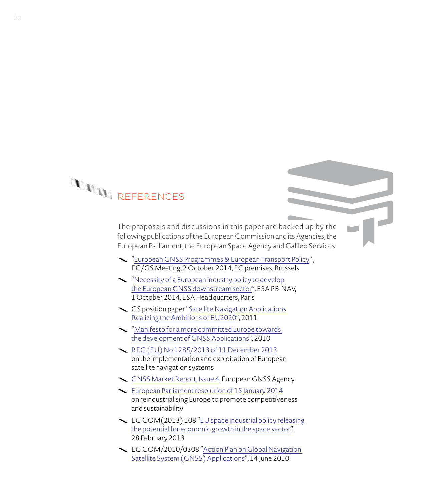### REFERENCES aaaaaaaaaaa

The proposals and discussions in this paper are backed up by the following publications of the European Commission and its Agencies, the

- European Parliament, the European Space Agency and Galileo Services:<br>
Services: European GNSS Programmes & European Transport Policy" ,<br>
EC /CS Meeting 2 October 2014 EC promises Prussels EC/GS Meeting, 2 October 2014, EC premises, Brussels ~ "European GNSS Programmes & European Transport Policy",<br>EC/GS Meeting, 2 October 2014, EC premises, Brussels<br>"Necessity of a European industry policy to develop
- [the European GNSS downstream sector", ESA PB-N](http://www.galileo-services.org/news_events/Galileo%20Services_Industrial%20Policy%20for%20GNSS%20downstream%20sector_VF2%20WS.pdf)AV, 1 October 2014, ESA Headquarters, Paris
- \[GS position paper "Satellite Navigation Applications](http://www.galileo-services.org/news_events/R87_11033_GS%20Position%20Paper_Web.pdf)  Realizing the Ambitions of EU2020", 2011
- \["Manifesto for a more committed Europe towards](http://www.galileo-services.org/library/Manifesto_for_a_more_committed_Europe_towards_the_dev_of_GNSS_Applications.pdf)  the development of GNSS Applications", 2010
- $\sum$  [REG \(EU\) No 1285/2013 of 11 December 2013](http://eur-lex.europa.eu/legal-content/EN/TXT/?uri=uriserv:OJ.L_.2013.347.01.0001.01.ENG) on the implementation and exploitation of European satellite navigation systems Satellite navigation systems<br>Satellite navigation systems<br>CNSS Market Report, Issue 4, European GNSS Agency
- 
- CNSS Market Report, Issue 4, European GNSS Age<br>[European Parliament resolution of 15 January 2014](http://www.europarl.europa.eu/sides/getDoc.do?type=TA&language=EN&reference=P7-TA-2014-0032)<br>on reinductrialising Europe to promote competitive on reindustrialising Europe to promote competitiveness and sustainability
- EC COM(2013) 108 "EU space industrial policy releasing the potential for economic growth in the space sector", 28 February 2013
- [EC COM/2010/0308 "Action Plan on Global Navigation](http://eur-lex.europa.eu/legal-content/EN/TXT/?uri=celex:52010DC0308) Satellite System (GNSS) Applications", 14 June 2010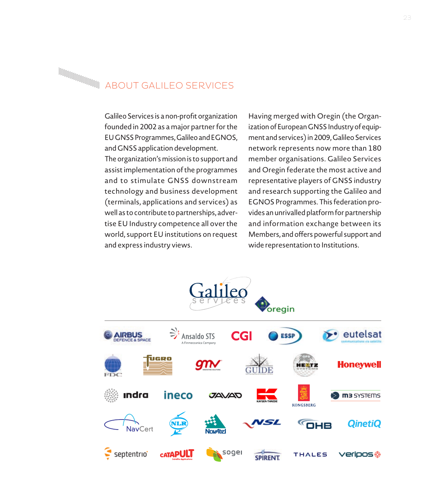## about galileo services aaaaaaaaaaa

Galileo Services is a non-profit organization founded in 2002 as a major partner for the EU GNSS Programmes, Galileo and EGNOS, and GNSS application development.

The organization's mission is to support and assist implementation of the programmes and to stimulate GNSS downstream technology and business development (terminals, applications and services) as well as to contribute to partnerships, advertise EU Industry competence all over the world, support EU institutions on request and express industry views.

Having merged with Oregin (the Organization of European GNSS Industry of equipment and services) in 2009, Galileo Services network represents now more than 180 member organisations. Galileo Services and Oregin federate the most active and representative players of GNSS industry and research supporting the Galileo and EGNOS Programmes. This federation provides an unrivalled platform for partnership and information exchange between its Members, and offers powerful support and wide representation to Institutions.

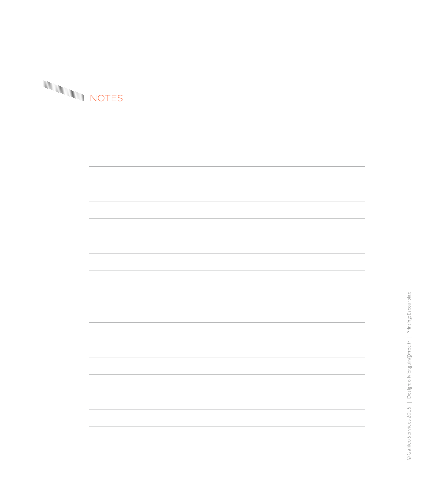

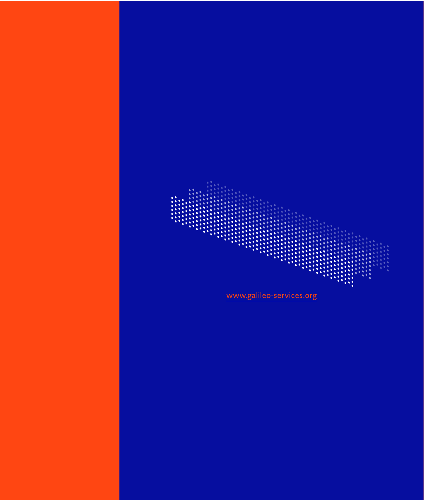